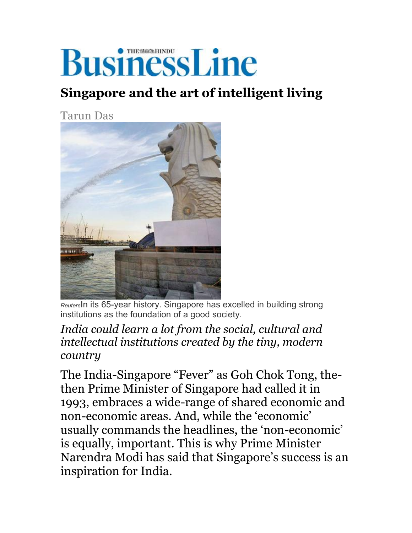# **BusinessLine**

### **Singapore and the art of intelligent living**

Tarun Das



*Reuters*In its 65-year history. Singapore has excelled in building strong institutions as the foundation of a good society.

#### *India could learn a lot from the social, cultural and intellectual institutions created by the tiny, modern country*

The India-Singapore "Fever" as Goh Chok Tong, thethen Prime Minister of Singapore had called it in 1993, embraces a wide-range of shared economic and non-economic areas. And, while the 'economic' usually commands the headlines, the 'non-economic' is equally, important. This is why Prime Minister Narendra Modi has said that Singapore's success is an inspiration for India.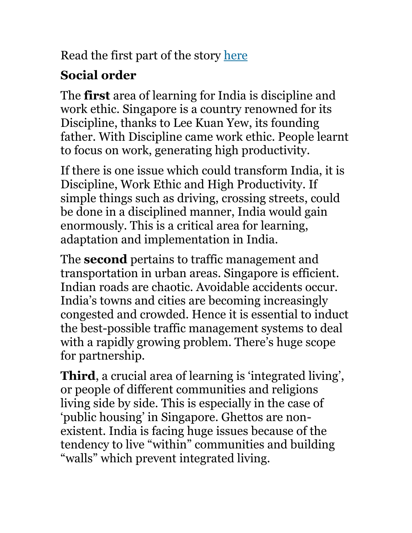Read the first part of the story here

# **Social order**

The **first** area of learning for India is discipline and work ethic. Singapore is a country renowned for its Discipline, thanks to Lee Kuan Yew, its founding father. With Discipline came work ethic. People learnt to focus on work, generating high productivity.

If there is one issue which could transform India, it is Discipline, Work Ethic and High Productivity. If simple things such as driving, crossing streets, could be done in a disciplined manner, India would gain enormously. This is a critical area for learning, adaptation and implementation in India.

The **second** pertains to traffic management and transportation in urban areas. Singapore is efficient. Indian roads are chaotic. Avoidable accidents occur. India's towns and cities are becoming increasingly congested and crowded. Hence it is essential to induct the best-possible traffic management systems to deal with a rapidly growing problem. There's huge scope for partnership.

**Third**, a crucial area of learning is 'integrated living', or people of different communities and religions living side by side. This is especially in the case of 'public housing' in Singapore. Ghettos are non existent. India is facing huge issues because of the tendency to live "within" communities and building "walls" which prevent integrated living.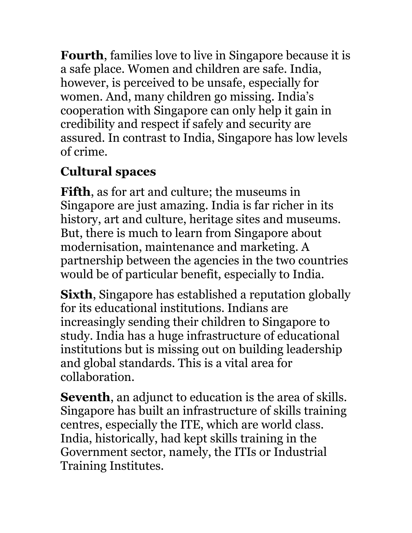**Fourth**, families love to live in Singapore because it is a safe place. Women and children are safe. India, however, is perceived to be unsafe, especially for women. And, many children go missing. India's cooperation with Singapore can only help it gain in credibility and respect if safely and security are assured. In contrast to India, Singapore has low levels of crime.

## **Cultural spaces**

**Fifth**, as for art and culture; the museums in Singapore are just amazing. India is far richer in its history, art and culture, heritage sites and museums. But, there is much to learn from Singapore about modernisation, maintenance and marketing. A partnership between the agencies in the two countries would be of particular benefit, especially to India.

**Sixth**, Singapore has established a reputation globally for its educational institutions. Indians are increasingly sending their children to Singapore to study. India has a huge infrastructure of educational institutions but is missing out on building leadership and global standards. This is a vital area for collaboration.

**Seventh**, an adjunct to education is the area of skills. Singapore has built an infrastructure of skills training centres, especially the ITE, which are world class. India, historically, had kept skills training in the Government sector, namely, the ITIs or Industrial Training Institutes.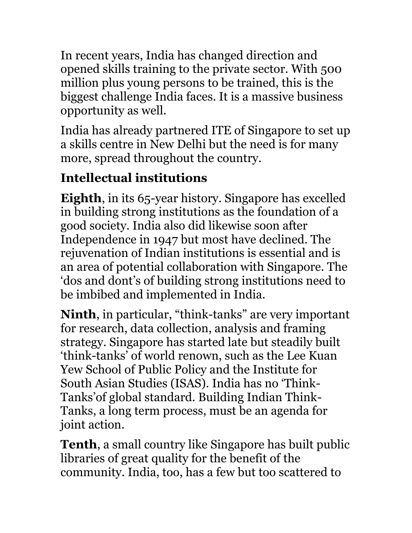In recent years, India has changed direction and opened skills training to the private sector. With 500 million plus young persons to be trained, this is the biggest challenge India faces. It is a massive business opportunity as well.

India has already partnered ITE of Singapore to set up a skills centre in New Delhi but the need is for many more, spread throughout the country.

## **Intellectual institutions**

**Eighth**, in its 65-year history. Singapore has excelled in building strong institutions as the foundation of a good society. India also did likewise soon after Independence in 1947 but most have declined. The rejuvenation of Indian institutions is essential and is an area of potential collaboration with Singapore. The 'dos and dont's of building strong institutions need to be imbibed and implemented in India.

**Ninth**, in particular, "think-tanks" are very important for research, data collection, analysis and framing strategy. Singapore has started late but steadily built 'think-tanks' of world renown, such as the Lee Kuan Yew School of Public Policy and the Institute for South Asian Studies (ISAS). India has no 'Think- Tanks'of global standard. Building Indian Think- Tanks, a long term process, must be an agenda for joint action.

**Tenth**, a small country like Singapore has built public libraries of great quality for the benefit of the community. India, too, has a few but too scattered to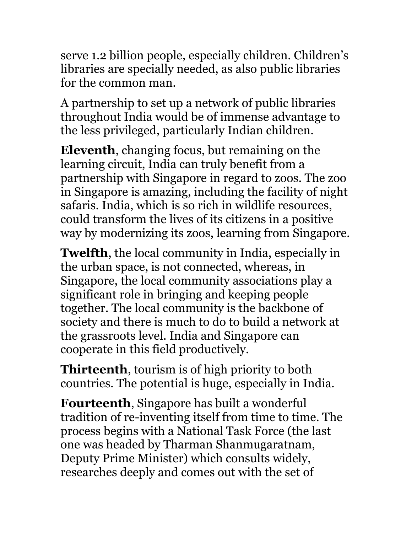serve 1.2 billion people, especially children. Children's libraries are specially needed, as also public libraries for the common man.

A partnership to set up a network of public libraries throughout India would be of immense advantage to the less privileged, particularly Indian children.

**Eleventh**, changing focus, but remaining on the learning circuit, India can truly benefit from a partnership with Singapore in regard to zoos. The zoo in Singapore is amazing, including the facility of night safaris. India, which is so rich in wildlife resources, could transform the lives of its citizens in a positive way by modernizing its zoos, learning from Singapore.

**Twelfth**, the local community in India, especially in the urban space, is not connected, whereas, in Singapore, the local community associations play a significant role in bringing and keeping people together. The local community is the backbone of society and there is much to do to build a network at the grassroots level. India and Singapore can cooperate in this field productively.

**Thirteenth**, tourism is of high priority to both countries. The potential is huge, especially in India.

**Fourteenth**, Singapore has built a wonderful tradition of re-inventing itself from time to time. The process begins with a National Task Force (the last one was headed by Tharman Shanmugaratnam, Deputy Prime Minister) which consults widely, researches deeply and comes out with the set of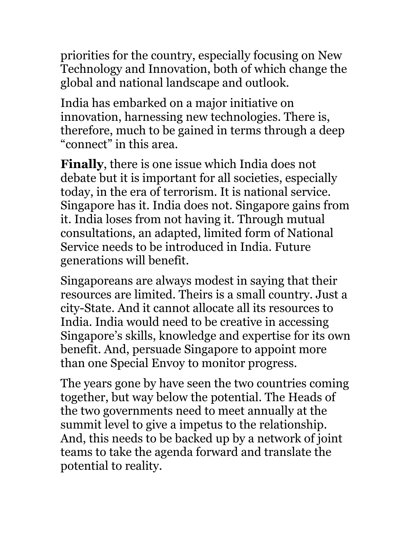priorities for the country, especially focusing on New Technology and Innovation, both of which change the global and national landscape and outlook.

India has embarked on a major initiative on innovation, harnessing new technologies. There is, therefore, much to be gained in terms through a deep "connect" in this area.

**Finally**, there is one issue which India does not debate but it is important for all societies, especially today, in the era of terrorism. It is national service. Singapore has it. India does not. Singapore gains from it. India loses from not having it. Through mutual consultations, an adapted, limited form of National Service needs to be introduced in India. Future generations will benefit.

Singaporeans are always modest in saying that their resources are limited. Theirs is a small country. Just a city-State. And it cannot allocate all its resources to India. India would need to be creative in accessing Singapore's skills, knowledge and expertise for its own benefit. And, persuade Singapore to appoint more than one Special Envoy to monitor progress.

The years gone by have seen the two countries coming together, but way below the potential. The Heads of the two governments need to meet annually at the summit level to give a impetus to the relationship. And, this needs to be backed up by a network of joint teams to take the agenda forward and translate the potential to reality.